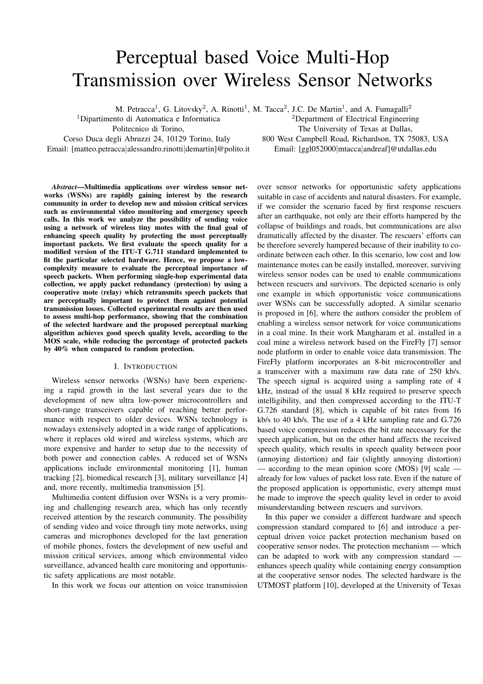# Perceptual based Voice Multi-Hop Transmission over Wireless Sensor Networks

M. Petracca<sup>1</sup>, G. Litovsky<sup>2</sup>, A. Rinotti<sup>1</sup>, M. Tacca<sup>2</sup>, J.C. De Martin<sup>1</sup>, and A. Fumagalli<sup>2</sup>

<sup>1</sup>Dipartimento di Automatica e Informatica Politecnico di Torino,

Corso Duca degli Abruzzi 24, 10129 Torino, Italy

Email: [matteo.petracca|alessandro.rinotti|demartin]@polito.it

*Abstract***—Multimedia applications over wireless sensor networks (WSNs) are rapidly gaining interest by the research community in order to develop new and mission critical services such as environmental video monitoring and emergency speech calls. In this work we analyze the possibility of sending voice using a network of wireless tiny motes with the final goal of enhancing speech quality by protecting the most perceptually important packets. We first evaluate the speech quality for a modified version of the ITU-T G.711 standard implemented to fit the particular selected hardware. Hence, we propose a lowcomplexity measure to evaluate the perceptual importance of speech packets. When performing single-hop experimental data collection, we apply packet redundancy (protection) by using a cooperative mote (relay) which retransmits speech packets that are perceptually important to protect them against potential transmission losses. Collected experimental results are then used to assess multi-hop performance, showing that the combination of the selected hardware and the proposed perceptual marking algorithm achieves good speech quality levels, according to the MOS scale, while reducing the percentage of protected packets by 40% when compared to random protection.**

### I. INTRODUCTION

Wireless sensor networks (WSNs) have been experiencing a rapid growth in the last several years due to the development of new ultra low-power microcontrollers and short-range transceivers capable of reaching better performance with respect to older devices. WSNs technology is nowadays extensively adopted in a wide range of applications, where it replaces old wired and wireless systems, which are more expensive and harder to setup due to the necessity of both power and connection cables. A reduced set of WSNs applications include environmental monitoring [1], human tracking [2], biomedical research [3], military surveillance [4] and, more recently, multimedia transmission [5].

Multimedia content diffusion over WSNs is a very promising and challenging research area, which has only recently received attention by the research community. The possibility of sending video and voice through tiny mote networks, using cameras and microphones developed for the last generation of mobile phones, fosters the development of new useful and mission critical services, among which environmental video surveillance, advanced health care monitoring and opportunistic safety applications are most notable.

In this work we focus our attention on voice transmission

<sup>2</sup>Department of Electrical Engineering The University of Texas at Dallas, 800 West Campbell Road, Richardson, TX 75083, USA Email: [ggl052000|mtacca|andreaf]@utdallas.edu

over sensor networks for opportunistic safety applications suitable in case of accidents and natural disasters. For example, if we consider the scenario faced by first response rescuers after an earthquake, not only are their efforts hampered by the collapse of buildings and roads, but communications are also dramatically affected by the disaster. The rescuers' efforts can be therefore severely hampered because of their inability to coordinate between each other. In this scenario, low cost and low maintenance motes can be easily installed, moreover, surviving wireless sensor nodes can be used to enable communications between rescuers and survivors. The depicted scenario is only one example in which opportunistic voice communications over WSNs can be successfully adopted. A similar scenario is proposed in [6], where the authors consider the problem of enabling a wireless sensor network for voice communications in a coal mine. In their work Mangharam et al. installed in a coal mine a wireless network based on the FireFly [7] sensor node platform in order to enable voice data transmission. The FireFly platform incorporates an 8-bit microcontroller and a transceiver with a maximum raw data rate of 250 kb/s. The speech signal is acquired using a sampling rate of 4 kHz, instead of the usual 8 kHz required to preserve speech intelligibility, and then compressed according to the ITU-T G.726 standard [8], which is capable of bit rates from 16 kb/s to 40 kb/s. The use of a 4 kHz sampling rate and G.726 based voice compression reduces the bit rate necessary for the speech application, but on the other hand affects the received speech quality, which results in speech quality between poor (annoying distortion) and fair (slightly annoying distortion) — according to the mean opinion score (MOS) [9] scale already for low values of packet loss rate. Even if the nature of the proposed application is opportunistic, every attempt must be made to improve the speech quality level in order to avoid misunderstanding between rescuers and survivors.

In this paper we consider a different hardware and speech compression standard compared to [6] and introduce a perceptual driven voice packet protection mechanism based on cooperative sensor nodes. The protection mechanism — which can be adapted to work with any compression standard enhances speech quality while containing energy consumption at the cooperative sensor nodes. The selected hardware is the UTMOST platform [10], developed at the University of Texas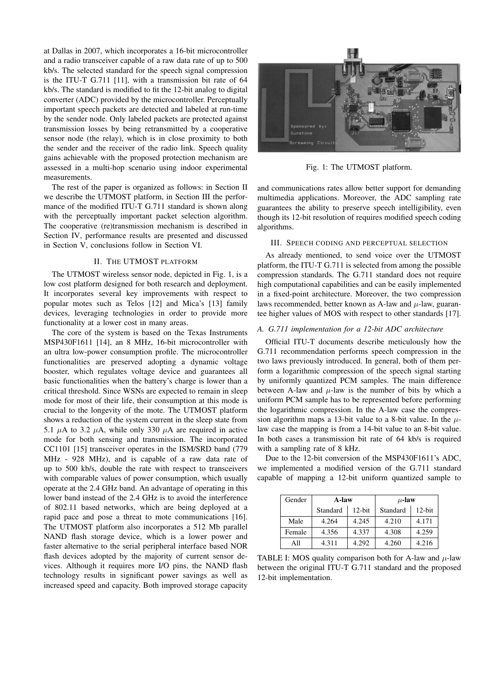at Dallas in 2007, which incorporates a 16-bit microcontroller and a radio transceiver capable of a raw data rate of up to 500 kb/s. The selected standard for the speech signal compression is the ITU-T G.711 [11], with a transmission bit rate of 64 kb/s. The standard is modified to fit the 12-bit analog to digital converter (ADC) provided by the microcontroller. Perceptually important speech packets are detected and labeled at run-time by the sender node. Only labeled packets are protected against transmission losses by being retransmitted by a cooperative sensor node (the relay), which is in close proximity to both the sender and the receiver of the radio link. Speech quality gains achievable with the proposed protection mechanism are assessed in a multi-hop scenario using indoor experimental measurements.

The rest of the paper is organized as follows: in Section II we describe the UTMOST platform, in Section III the performance of the modified ITU-T G.711 standard is shown along with the perceptually important packet selection algorithm. The cooperative (re)transmission mechanism is described in Section IV, performance results are presented and discussed in Section V, conclusions follow in Section VI.

## II. THE UTMOST PLATFORM

The UTMOST wireless sensor node, depicted in Fig. 1, is a low cost platform designed for both research and deployment. It incorporates several key improvements with respect to popular motes such as Telos [12] and Mica's [13] family devices, leveraging technologies in order to provide more functionality at a lower cost in many areas.

The core of the system is based on the Texas Instruments MSP430F1611 [14], an 8 MHz, 16-bit microcontroller with an ultra low-power consumption profile. The microcontroller functionalities are preserved adopting a dynamic voltage booster, which regulates voltage device and guarantees all basic functionalities when the battery's charge is lower than a critical threshold. Since WSNs are expected to remain in sleep mode for most of their life, their consumption at this mode is crucial to the longevity of the mote. The UTMOST platform shows a reduction of the system current in the sleep state from 5.1  $\mu$ A to 3.2  $\mu$ A, while only 330  $\mu$ A are required in active mode for both sensing and transmission. The incorporated CC1101 [15] transceiver operates in the ISM/SRD band (779 MHz - 928 MHz), and is capable of a raw data rate of up to 500 kb/s, double the rate with respect to transceivers with comparable values of power consumption, which usually operate at the 2.4 GHz band. An advantage of operating in this lower band instead of the 2.4 GHz is to avoid the interference of 802.11 based networks, which are being deployed at a rapid pace and pose a threat to mote communications [16]. The UTMOST platform also incorporates a 512 Mb parallel NAND flash storage device, which is a lower power and faster alternative to the serial peripheral interface based NOR flash devices adopted by the majority of current sensor devices. Although it requires more I/O pins, the NAND flash technology results in significant power savings as well as increased speed and capacity. Both improved storage capacity



Fig. 1: The UTMOST platform.

and communications rates allow better support for demanding multimedia applications. Moreover, the ADC sampling rate guarantees the ability to preserve speech intelligibility, even though its 12-bit resolution of requires modified speech coding algorithms.

# III. SPEECH CODING AND PERCEPTUAL SELECTION

As already mentioned, to send voice over the UTMOST platform, the ITU-T G.711 is selected from among the possible compression standards. The G.711 standard does not require high computational capabilities and can be easily implemented in a fixed-point architecture. Moreover, the two compression laws recommended, better known as A-law and  $\mu$ -law, guarantee higher values of MOS with respect to other standards [17].

## *A. G.711 implementation for a 12-bit ADC architecture*

Official ITU-T documents describe meticulously how the G.711 recommendation performs speech compression in the two laws previously introduced. In general, both of them perform a logarithmic compression of the speech signal starting by uniformly quantized PCM samples. The main difference between A-law and  $\mu$ -law is the number of bits by which a uniform PCM sample has to be represented before performing the logarithmic compression. In the A-law case the compression algorithm maps a 13-bit value to a 8-bit value. In the  $\mu$ law case the mapping is from a 14-bit value to an 8-bit value. In both cases a transmission bit rate of 64 kb/s is required with a sampling rate of 8 kHz.

Due to the 12-bit conversion of the MSP430F1611's ADC, we implemented a modified version of the G.711 standard capable of mapping a 12-bit uniform quantized sample to

| Gender | A-law    |           | $\mu$ -law |           |  |
|--------|----------|-----------|------------|-----------|--|
|        | Standard | $12$ -bit | Standard   | $12$ -bit |  |
| Male   | 4.264    | 4.245     | 4.210      | 4.171     |  |
| Female | 4.356    | 4.337     | 4.308      | 4.259     |  |
| All    | 4.311    | 4.292     | 4.260      | 4.216     |  |

TABLE I: MOS quality comparison both for A-law and  $\mu$ -law between the original ITU-T G.711 standard and the proposed 12-bit implementation.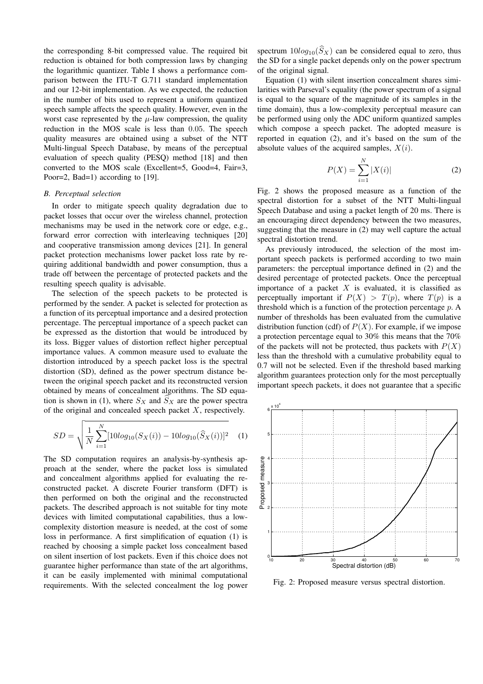the corresponding 8-bit compressed value. The required bit reduction is obtained for both compression laws by changing the logarithmic quantizer. Table I shows a performance comparison between the ITU-T G.711 standard implementation and our 12-bit implementation. As we expected, the reduction in the number of bits used to represent a uniform quantized speech sample affects the speech quality. However, even in the worst case represented by the  $\mu$ -law compression, the quality reduction in the MOS scale is less than 0.05. The speech quality measures are obtained using a subset of the NTT Multi-lingual Speech Database, by means of the perceptual evaluation of speech quality (PESQ) method [18] and then converted to the MOS scale (Excellent=5, Good=4, Fair=3, Poor=2, Bad=1) according to [19].

## *B. Perceptual selection*

In order to mitigate speech quality degradation due to packet losses that occur over the wireless channel, protection mechanisms may be used in the network core or edge, e.g., forward error correction with interleaving techniques [20] and cooperative transmission among devices [21]. In general packet protection mechanisms lower packet loss rate by requiring additional bandwidth and power consumption, thus a trade off between the percentage of protected packets and the resulting speech quality is advisable.

The selection of the speech packets to be protected is performed by the sender. A packet is selected for protection as a function of its perceptual importance and a desired protection percentage. The perceptual importance of a speech packet can be expressed as the distortion that would be introduced by its loss. Bigger values of distortion reflect higher perceptual importance values. A common measure used to evaluate the distortion introduced by a speech packet loss is the spectral distortion (SD), defined as the power spectrum distance between the original speech packet and its reconstructed version obtained by means of concealment algorithms. The SD equation is shown in (1), where  $S_X$  and  $S_X$  are the power spectra of the original and concealed speech packet  $X$ , respectively.

$$
SD = \sqrt{\frac{1}{N} \sum_{i=1}^{N} [10log_{10}(S_X(i)) - 10log_{10}(\hat{S}_X(i))]^2}
$$
 (1)

The SD computation requires an analysis-by-synthesis approach at the sender, where the packet loss is simulated and concealment algorithms applied for evaluating the reconstructed packet. A discrete Fourier transform (DFT) is then performed on both the original and the reconstructed packets. The described approach is not suitable for tiny mote devices with limited computational capabilities, thus a lowcomplexity distortion measure is needed, at the cost of some loss in performance. A first simplification of equation (1) is reached by choosing a simple packet loss concealment based on silent insertion of lost packets. Even if this choice does not guarantee higher performance than state of the art algorithms, it can be easily implemented with minimal computational requirements. With the selected concealment the log power

spectrum  $10log_{10}(\hat{S}_X)$  can be considered equal to zero, thus the SD for a single packet depends only on the power spectrum of the original signal.

Equation (1) with silent insertion concealment shares similarities with Parseval's equality (the power spectrum of a signal is equal to the square of the magnitude of its samples in the time domain), thus a low-complexity perceptual measure can be performed using only the ADC uniform quantized samples which compose a speech packet. The adopted measure is reported in equation (2), and it's based on the sum of the absolute values of the acquired samples,  $X(i)$ .

$$
P(X) = \sum_{i=1}^{N} |X(i)|
$$
 (2)

Fig. 2 shows the proposed measure as a function of the spectral distortion for a subset of the NTT Multi-lingual Speech Database and using a packet length of 20 ms. There is an encouraging direct dependency between the two measures, suggesting that the measure in (2) may well capture the actual spectral distortion trend.

As previously introduced, the selection of the most important speech packets is performed according to two main parameters: the perceptual importance defined in (2) and the desired percentage of protected packets. Once the perceptual importance of a packet  $X$  is evaluated, it is classified as perceptually important if  $P(X) > T(p)$ , where  $T(p)$  is a threshold which is a function of the protection percentage  $p$ . A number of thresholds has been evaluated from the cumulative distribution function (cdf) of  $P(X)$ . For example, if we impose a protection percentage equal to 30% this means that the 70% of the packets will not be protected, thus packets with  $P(X)$ less than the threshold with a cumulative probability equal to 0.7 will not be selected. Even if the threshold based marking algorithm guarantees protection only for the most perceptually important speech packets, it does not guarantee that a specific



Fig. 2: Proposed measure versus spectral distortion.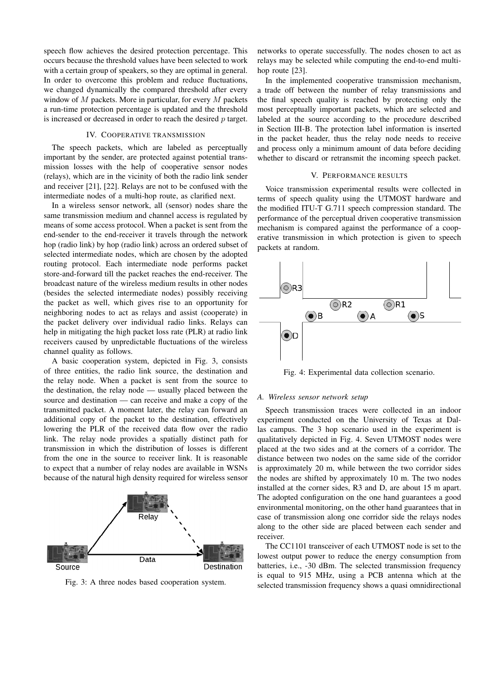speech flow achieves the desired protection percentage. This occurs because the threshold values have been selected to work with a certain group of speakers, so they are optimal in general. In order to overcome this problem and reduce fluctuations, we changed dynamically the compared threshold after every window of  $M$  packets. More in particular, for every  $M$  packets a run-time protection percentage is updated and the threshold is increased or decreased in order to reach the desired  $p$  target.

#### IV. COOPERATIVE TRANSMISSION

The speech packets, which are labeled as perceptually important by the sender, are protected against potential transmission losses with the help of cooperative sensor nodes (relays), which are in the vicinity of both the radio link sender and receiver [21], [22]. Relays are not to be confused with the intermediate nodes of a multi-hop route, as clarified next.

In a wireless sensor network, all (sensor) nodes share the same transmission medium and channel access is regulated by means of some access protocol. When a packet is sent from the end-sender to the end-receiver it travels through the network hop (radio link) by hop (radio link) across an ordered subset of selected intermediate nodes, which are chosen by the adopted routing protocol. Each intermediate node performs packet store-and-forward till the packet reaches the end-receiver. The broadcast nature of the wireless medium results in other nodes (besides the selected intermediate nodes) possibly receiving the packet as well, which gives rise to an opportunity for neighboring nodes to act as relays and assist (cooperate) in the packet delivery over individual radio links. Relays can help in mitigating the high packet loss rate (PLR) at radio link receivers caused by unpredictable fluctuations of the wireless channel quality as follows.

A basic cooperation system, depicted in Fig. 3, consists of three entities, the radio link source, the destination and the relay node. When a packet is sent from the source to the destination, the relay node — usually placed between the source and destination — can receive and make a copy of the transmitted packet. A moment later, the relay can forward an additional copy of the packet to the destination, effectively lowering the PLR of the received data flow over the radio link. The relay node provides a spatially distinct path for transmission in which the distribution of losses is different from the one in the source to receiver link. It is reasonable to expect that a number of relay nodes are available in WSNs because of the natural high density required for wireless sensor



Fig. 3: A three nodes based cooperation system.

networks to operate successfully. The nodes chosen to act as relays may be selected while computing the end-to-end multihop route [23].

In the implemented cooperative transmission mechanism, a trade off between the number of relay transmissions and the final speech quality is reached by protecting only the most perceptually important packets, which are selected and labeled at the source according to the procedure described in Section III-B. The protection label information is inserted in the packet header, thus the relay node needs to receive and process only a minimum amount of data before deciding whether to discard or retransmit the incoming speech packet.

# V. PERFORMANCE RESULTS

Voice transmission experimental results were collected in terms of speech quality using the UTMOST hardware and the modified ITU-T G.711 speech compression standard. The performance of the perceptual driven cooperative transmission mechanism is compared against the performance of a cooperative transmission in which protection is given to speech packets at random.



Fig. 4: Experimental data collection scenario.

# *A. Wireless sensor network setup*

Speech transmission traces were collected in an indoor experiment conducted on the University of Texas at Dallas campus. The 3 hop scenario used in the experiment is qualitatively depicted in Fig. 4. Seven UTMOST nodes were placed at the two sides and at the corners of a corridor. The distance between two nodes on the same side of the corridor is approximately 20 m, while between the two corridor sides the nodes are shifted by approximately 10 m. The two nodes installed at the corner sides, R3 and D, are about 15 m apart. The adopted configuration on the one hand guarantees a good environmental monitoring, on the other hand guarantees that in case of transmission along one corridor side the relays nodes along to the other side are placed between each sender and receiver.

The CC1101 transceiver of each UTMOST node is set to the lowest output power to reduce the energy consumption from batteries, i.e., -30 dBm. The selected transmission frequency is equal to 915 MHz, using a PCB antenna which at the selected transmission frequency shows a quasi omnidirectional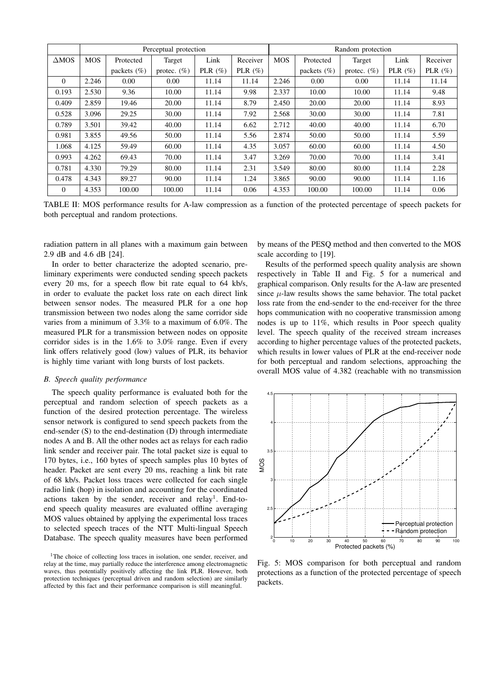|                 | Perceptual protection |                 |                |             | Random protection |            |                 |                |            |            |
|-----------------|-----------------------|-----------------|----------------|-------------|-------------------|------------|-----------------|----------------|------------|------------|
| $\triangle MOS$ | <b>MOS</b>            | Protected       | Target         | Link        | Receiver          | <b>MOS</b> | Protected       | Target         | Link       | Receiver   |
|                 |                       | packets $(\% )$ | protec. $(\%)$ | PLR $(\% )$ | PLR $(\%)$        |            | packets $(\% )$ | protec. $(\%)$ | PLR $(\%)$ | PLR $(\%)$ |
| $\Omega$        | 2.246                 | 0.00            | 0.00           | 11.14       | 11.14             | 2.246      | 0.00            | 0.00           | 11.14      | 11.14      |
| 0.193           | 2.530                 | 9.36            | 10.00          | 11.14       | 9.98              | 2.337      | 10.00           | 10.00          | 11.14      | 9.48       |
| 0.409           | 2.859                 | 19.46           | 20.00          | 11.14       | 8.79              | 2.450      | 20.00           | 20.00          | 11.14      | 8.93       |
| 0.528           | 3.096                 | 29.25           | 30.00          | 11.14       | 7.92              | 2.568      | 30.00           | 30.00          | 11.14      | 7.81       |
| 0.789           | 3.501                 | 39.42           | 40.00          | 11.14       | 6.62              | 2.712      | 40.00           | 40.00          | 11.14      | 6.70       |
| 0.981           | 3.855                 | 49.56           | 50.00          | 11.14       | 5.56              | 2.874      | 50.00           | 50.00          | 11.14      | 5.59       |
| 1.068           | 4.125                 | 59.49           | 60.00          | 11.14       | 4.35              | 3.057      | 60.00           | 60.00          | 11.14      | 4.50       |
| 0.993           | 4.262                 | 69.43           | 70.00          | 11.14       | 3.47              | 3.269      | 70.00           | 70.00          | 11.14      | 3.41       |
| 0.781           | 4.330                 | 79.29           | 80.00          | 11.14       | 2.31              | 3.549      | 80.00           | 80.00          | 11.14      | 2.28       |
| 0.478           | 4.343                 | 89.27           | 90.00          | 11.14       | 1.24              | 3.865      | 90.00           | 90.00          | 11.14      | 1.16       |
| $\Omega$        | 4.353                 | 100.00          | 100.00         | 11.14       | 0.06              | 4.353      | 100.00          | 100.00         | 11.14      | 0.06       |

TABLE II: MOS performance results for A-law compression as a function of the protected percentage of speech packets for both perceptual and random protections.

radiation pattern in all planes with a maximum gain between 2.9 dB and 4.6 dB [24].

In order to better characterize the adopted scenario, preliminary experiments were conducted sending speech packets every 20 ms, for a speech flow bit rate equal to 64 kb/s, in order to evaluate the packet loss rate on each direct link between sensor nodes. The measured PLR for a one hop transmission between two nodes along the same corridor side varies from a minimum of 3.3% to a maximum of 6.0%. The measured PLR for a transmission between nodes on opposite corridor sides is in the 1.6% to 3.0% range. Even if every link offers relatively good (low) values of PLR, its behavior is highly time variant with long bursts of lost packets.

# *B. Speech quality performance*

The speech quality performance is evaluated both for the perceptual and random selection of speech packets as a function of the desired protection percentage. The wireless sensor network is configured to send speech packets from the end-sender (S) to the end-destination (D) through intermediate nodes A and B. All the other nodes act as relays for each radio link sender and receiver pair. The total packet size is equal to 170 bytes, i.e., 160 bytes of speech samples plus 10 bytes of header. Packet are sent every 20 ms, reaching a link bit rate of 68 kb/s. Packet loss traces were collected for each single radio link (hop) in isolation and accounting for the coordinated actions taken by the sender, receiver and relay<sup>1</sup>. End-toend speech quality measures are evaluated offline averaging MOS values obtained by applying the experimental loss traces to selected speech traces of the NTT Multi-lingual Speech Database. The speech quality measures have been performed

<sup>1</sup>The choice of collecting loss traces in isolation, one sender, receiver, and relay at the time, may partially reduce the interference among electromagnetic waves, thus potentially positively affecting the link PLR. However, both protection techniques (perceptual driven and random selection) are similarly affected by this fact and their performance comparison is still meaningful.

by means of the PESQ method and then converted to the MOS scale according to [19].

Results of the performed speech quality analysis are shown respectively in Table II and Fig. 5 for a numerical and graphical comparison. Only results for the A-law are presented since  $\mu$ -law results shows the same behavior. The total packet loss rate from the end-sender to the end-receiver for the three hops communication with no cooperative transmission among nodes is up to 11%, which results in Poor speech quality level. The speech quality of the received stream increases according to higher percentage values of the protected packets, which results in lower values of PLR at the end-receiver node for both perceptual and random selections, approaching the overall MOS value of 4.382 (reachable with no transmission



Fig. 5: MOS comparison for both perceptual and random protections as a function of the protected percentage of speech packets.